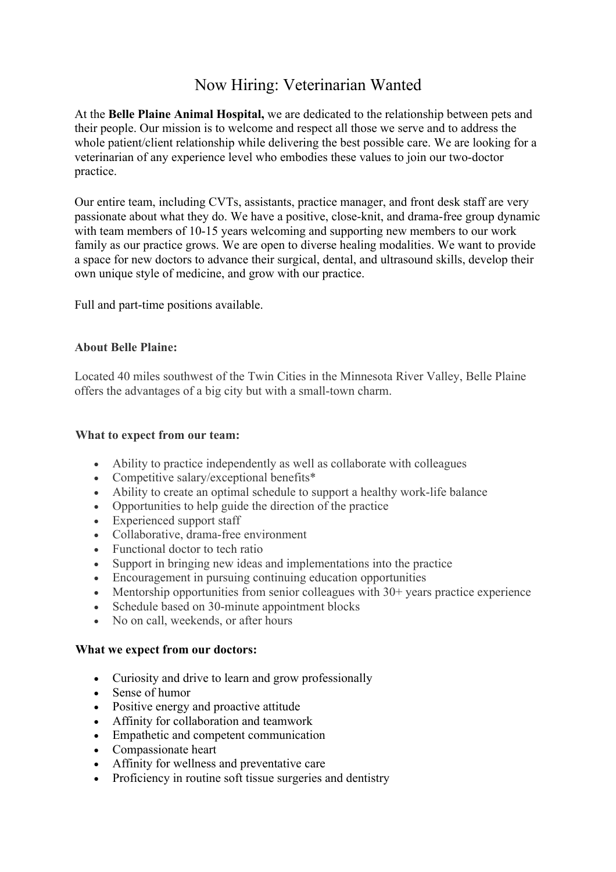## Now Hiring: Veterinarian Wanted

At the **Belle Plaine Animal Hospital,** we are dedicated to the relationship between pets and their people. Our mission is to welcome and respect all those we serve and to address the whole patient/client relationship while delivering the best possible care. We are looking for a veterinarian of any experience level who embodies these values to join our two-doctor practice.

Our entire team, including CVTs, assistants, practice manager, and front desk staff are very passionate about what they do. We have a positive, close-knit, and drama-free group dynamic with team members of 10-15 years welcoming and supporting new members to our work family as our practice grows. We are open to diverse healing modalities. We want to provide a space for new doctors to advance their surgical, dental, and ultrasound skills, develop their own unique style of medicine, and grow with our practice.

Full and part-time positions available.

## **About Belle Plaine:**

Located 40 miles southwest of the Twin Cities in the Minnesota River Valley, Belle Plaine offers the advantages of a big city but with a small-town charm.

## **What to expect from our team:**

- Ability to practice independently as well as collaborate with colleagues
- Competitive salary/exceptional benefits\*
- Ability to create an optimal schedule to support a healthy work-life balance
- Opportunities to help guide the direction of the practice
- Experienced support staff
- Collaborative, drama-free environment
- Functional doctor to tech ratio
- Support in bringing new ideas and implementations into the practice
- Encouragement in pursuing continuing education opportunities
- Mentorship opportunities from senior colleagues with 30+ years practice experience
- Schedule based on 30-minute appointment blocks
- No on call, weekends, or after hours

## **What we expect from our doctors:**

- Curiosity and drive to learn and grow professionally
- Sense of humor
- Positive energy and proactive attitude
- Affinity for collaboration and teamwork
- Empathetic and competent communication
- Compassionate heart
- Affinity for wellness and preventative care
- Proficiency in routine soft tissue surgeries and dentistry